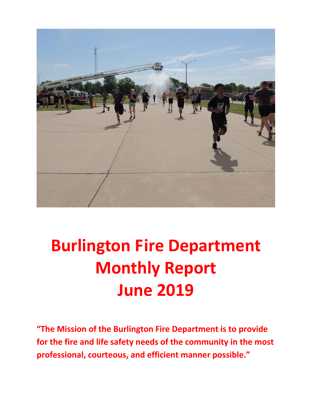

# **Burlington Fire Department Monthly Report June 2019**

**"The Mission of the Burlington Fire Department is to provide for the fire and life safety needs of the community in the most professional, courteous, and efficient manner possible."**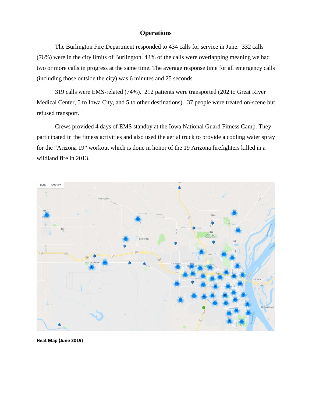### **Operations**

The Burlington Fire Department responded to 434 calls for service in June. 332 calls (76%) were in the city limits of Burlington. 43% of the calls were overlapping meaning we had two or more calls in progress at the same time. The average response time for all emergency calls (including those outside the city) was 6 minutes and 25 seconds.

319 calls were EMS-related (74%). 212 patients were transported (202 to Great River Medical Center, 5 to Iowa City, and 5 to other destinations). 37 people were treated on-scene but refused transport.

Crews provided 4 days of EMS standby at the Iowa National Guard Fitness Camp. They participated in the fitness activities and also used the aerial truck to provide a cooling water spray for the "Arizona 19" workout which is done in honor of the 19 Arizona firefighters killed in a wildland fire in 2013.



**Heat Map (June 2019)**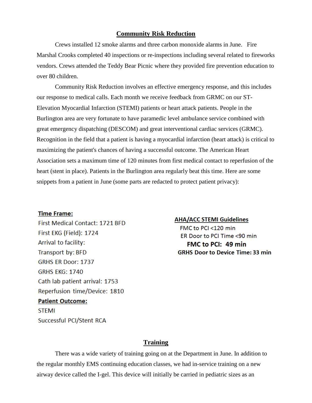#### **Community Risk Reduction**

Crews installed 12 smoke alarms and three carbon monoxide alarms in June. Fire Marshal Crooks completed 40 inspections or re-inspections including several related to fireworks vendors. Crews attended the Teddy Bear Picnic where they provided fire prevention education to over 80 children.

Community Risk Reduction involves an effective emergency response, and this includes our response to medical calls. Each month we receive feedback from GRMC on our ST-Elevation Myocardial Infarction (STEMI) patients or heart attack patients. People in the Burlington area are very fortunate to have paramedic level ambulance service combined with great emergency dispatching (DESCOM) and great interventional cardiac services (GRMC). Recognition in the field that a patient is having a myocardial infarction (heart attack) is critical to maximizing the patient's chances of having a successful outcome. The American Heart Association sets a maximum time of 120 minutes from first medical contact to reperfusion of the heart (stent in place). Patients in the Burlington area regularly beat this time. Here are some snippets from a patient in June (some parts are redacted to protect patient privacy):

#### **Time Frame:**

First Medical Contact: 1721 BFD First EKG (Field): 1724 Arrival to facility: Transport by: BFD **GRHS ER Door: 1737 GRHS EKG: 1740** Cath lab patient arrival: 1753 Reperfusion time/Device: 1810 **Patient Outcome: STEMI** Successful PCI/Stent RCA

#### **AHA/ACC STEMI Guidelines**

FMC to PCI <120 min ER Door to PCI Time <90 min FMC to PCI: 49 min **GRHS Door to Device Time: 33 min** 

### **Training**

There was a wide variety of training going on at the Department in June. In addition to the regular monthly EMS continuing education classes, we had in-service training on a new airway device called the I-gel. This device will initially be carried in pediatric sizes as an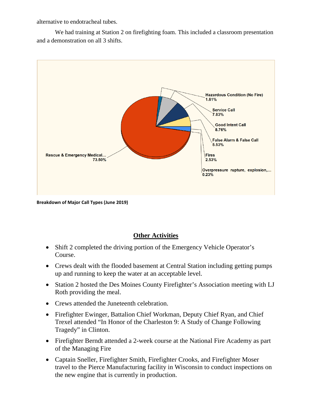alternative to endotracheal tubes.

We had training at Station 2 on firefighting foam. This included a classroom presentation and a demonstration on all 3 shifts.



**Breakdown of Major Call Types (June 2019)**

### **Other Activities**

- Shift 2 completed the driving portion of the Emergency Vehicle Operator's Course.
- Crews dealt with the flooded basement at Central Station including getting pumps up and running to keep the water at an acceptable level.
- Station 2 hosted the Des Moines County Firefighter's Association meeting with LJ Roth providing the meal.
- Crews attended the Juneteenth celebration.
- Firefighter Ewinger, Battalion Chief Workman, Deputy Chief Ryan, and Chief Trexel attended "In Honor of the Charleston 9: A Study of Change Following Tragedy" in Clinton.
- Firefighter Berndt attended a 2-week course at the National Fire Academy as part of the Managing Fire
- Captain Sneller, Firefighter Smith, Firefighter Crooks, and Firefighter Moser travel to the Pierce Manufacturing facility in Wisconsin to conduct inspections on the new engine that is currently in production.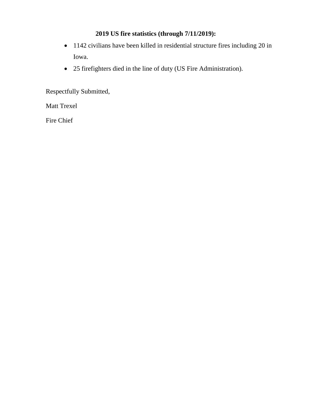### **2019 US fire statistics (through 7/11/2019):**

- 1142 civilians have been killed in residential structure fires including 20 in Iowa.
- 25 firefighters died in the line of duty (US Fire Administration).

Respectfully Submitted,

Matt Trexel

Fire Chief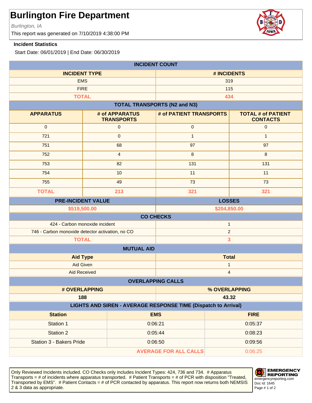Burlington, IA

This report was generated on 7/10/2019 4:38:00 PM

### **Incident Statistics**

Start Date: 06/01/2019 | End Date: 06/30/2019

| <b>INCIDENT COUNT</b>                                                          |                                     |                                     |                                              |              |
|--------------------------------------------------------------------------------|-------------------------------------|-------------------------------------|----------------------------------------------|--------------|
| <b>INCIDENT TYPE</b>                                                           |                                     |                                     | # INCIDENTS                                  |              |
| <b>EMS</b>                                                                     |                                     |                                     | 319                                          |              |
| <b>FIRE</b>                                                                    |                                     |                                     | 115                                          |              |
|                                                                                | <b>TOTAL</b>                        |                                     | 434                                          |              |
|                                                                                |                                     | <b>TOTAL TRANSPORTS (N2 and N3)</b> |                                              |              |
| <b>APPARATUS</b>                                                               | # of APPARATUS<br><b>TRANSPORTS</b> | # of PATIENT TRANSPORTS             | <b>TOTAL # of PATIENT</b><br><b>CONTACTS</b> |              |
| $\mathbf 0$                                                                    | $\pmb{0}$                           | $\mathbf 0$                         |                                              | $\mathbf 0$  |
| 721                                                                            | $\mathsf{O}\xspace$                 | $\mathbf{1}$                        |                                              | $\mathbf{1}$ |
| 751                                                                            | 68                                  | 97                                  | 97                                           |              |
| 752                                                                            | $\overline{4}$                      | 8                                   | 8                                            |              |
| 753                                                                            | 82                                  | 131                                 | 131                                          |              |
| 754                                                                            | 10                                  | 11                                  | 11                                           |              |
| 755                                                                            | 49                                  | 73                                  | 73                                           |              |
| <b>TOTAL</b>                                                                   | 213                                 | 321                                 | 321                                          |              |
| <b>LOSSES</b><br><b>PRE-INCIDENT VALUE</b>                                     |                                     |                                     |                                              |              |
| \$519,500.00<br>\$204,850.00                                                   |                                     |                                     |                                              |              |
|                                                                                |                                     | <b>CO CHECKS</b>                    |                                              |              |
| 424 - Carbon monoxide incident<br>$\mathbf{1}$                                 |                                     |                                     |                                              |              |
| 746 - Carbon monoxide detector activation, no CO                               |                                     |                                     | $\overline{c}$                               |              |
| <b>TOTAL</b><br>3                                                              |                                     |                                     |                                              |              |
| <b>MUTUAL AID</b>                                                              |                                     |                                     |                                              |              |
|                                                                                | <b>Aid Type</b>                     | <b>Total</b>                        |                                              |              |
| Aid Given                                                                      |                                     | 1                                   |                                              |              |
| <b>Aid Received</b><br>$\overline{\mathbf{4}}$                                 |                                     |                                     |                                              |              |
| <b>OVERLAPPING CALLS</b>                                                       |                                     |                                     |                                              |              |
| # OVERLAPPING                                                                  |                                     | % OVERLAPPING                       |                                              |              |
| 188<br>43.32<br>LIGHTS AND SIREN - AVERAGE RESPONSE TIME (Dispatch to Arrival) |                                     |                                     |                                              |              |
|                                                                                |                                     |                                     |                                              |              |
| <b>Station</b>                                                                 |                                     | <b>EMS</b>                          | <b>FIRE</b>                                  |              |
| Station 1                                                                      |                                     | 0:06:21                             | 0:05:37                                      |              |
| <b>Station 2</b>                                                               |                                     | 0:05:44                             | 0:08:23                                      |              |
| <b>Station 3 - Bakers Pride</b>                                                |                                     | 0:06:50                             | 0:09:56                                      |              |
| <b>AVERAGE FOR ALL CALLS</b>                                                   |                                     | 0:06:25                             |                                              |              |

Only Reviewed Incidents included. CO Checks only includes Incident Types: 424, 736 and 734. # Apparatus Transports = # of incidents where apparatus transported. # Patient Transports = # of PCR with disposition "Treated, Transported by EMS". # Patient Contacts = # of PCR contacted by apparatus. This report now returns both NEMSIS 2 & 3 data as appropriate. The set of 2 set of 2 set of 2 set of 2 set of 2 set of 2 set of 2 set of 2 set of 2



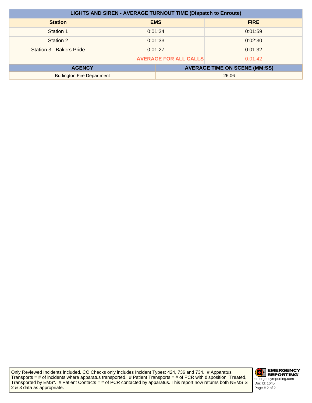| <b>LIGHTS AND SIREN - AVERAGE TURNOUT TIME (Dispatch to Enroute)</b> |         |            |                                      |
|----------------------------------------------------------------------|---------|------------|--------------------------------------|
| <b>Station</b>                                                       |         | <b>EMS</b> | <b>FIRE</b>                          |
| Station 1                                                            | 0:01:34 |            | 0:01:59                              |
| Station 2                                                            | 0:01:33 |            | 0:02:30                              |
| Station 3 - Bakers Pride                                             | 0:01:27 |            | 0:01:32                              |
| <b>AVERAGE FOR ALL CALLS</b><br>0:01:42                              |         |            |                                      |
| <b>AGENCY</b>                                                        |         |            | <b>AVERAGE TIME ON SCENE (MM:SS)</b> |
| <b>Burlington Fire Department</b><br>26:06                           |         |            |                                      |

Only Reviewed Incidents included. CO Checks only includes Incident Types: 424, 736 and 734. # Apparatus Transports = # of incidents where apparatus transported. # Patient Transports = # of PCR with disposition "Treated, Transported by EMS". # Patient Contacts = # of PCR contacted by apparatus. This report now returns both NEMSIS 2 & 3 data as appropriate.

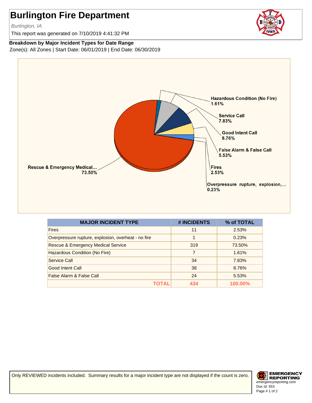Burlington, IA

This report was generated on 7/10/2019 4:41:32 PM

#### **Breakdown by Major Incident Types for Date Range**

Zone(s): All Zones | Start Date: 06/01/2019 | End Date: 06/30/2019



| <b>MAJOR INCIDENT TYPE</b>                          | # INCIDENTS    | % of TOTAL |
|-----------------------------------------------------|----------------|------------|
| <b>Fires</b>                                        | 11             | 2.53%      |
| Overpressure rupture, explosion, overheat - no fire | 1              | 0.23%      |
| Rescue & Emergency Medical Service                  | 319            | 73.50%     |
| Hazardous Condition (No Fire)                       | $\overline{7}$ | 1.61%      |
| Service Call                                        | 34             | 7.83%      |
| Good Intent Call                                    | 38             | 8.76%      |
| False Alarm & False Call                            | 24             | 5.53%      |
|                                                     | 434            | 100.00%    |

Only REVIEWED incidents included. Summary results for a major incident type are not displayed if the count is zero.



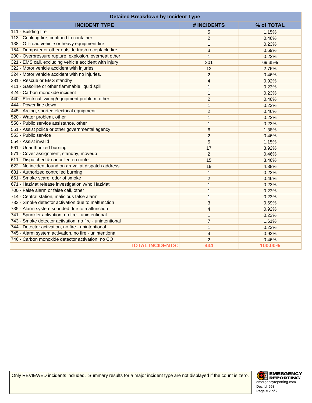| <b>Detailed Breakdown by Incident Type</b>               |                |            |  |
|----------------------------------------------------------|----------------|------------|--|
| <b>INCIDENT TYPE</b>                                     | # INCIDENTS    | % of TOTAL |  |
| 111 - Building fire                                      | 5              | 1.15%      |  |
| 113 - Cooking fire, confined to container                | $\overline{2}$ | 0.46%      |  |
| 138 - Off-road vehicle or heavy equipment fire           | $\mathbf{1}$   | 0.23%      |  |
| 154 - Dumpster or other outside trash receptacle fire    | 3              | 0.69%      |  |
| 200 - Overpressure rupture, explosion, overheat other    | $\mathbf{1}$   | 0.23%      |  |
| 321 - EMS call, excluding vehicle accident with injury   | 301            | 69.35%     |  |
| 322 - Motor vehicle accident with injuries               | 12             | 2.76%      |  |
| 324 - Motor vehicle accident with no injuries.           | $\overline{2}$ | 0.46%      |  |
| 381 - Rescue or EMS standby                              | $\overline{4}$ | 0.92%      |  |
| 411 - Gasoline or other flammable liquid spill           | $\mathbf{1}$   | 0.23%      |  |
| 424 - Carbon monoxide incident                           | $\mathbf{1}$   | 0.23%      |  |
| 440 - Electrical wiring/equipment problem, other         | $\overline{2}$ | 0.46%      |  |
| 444 - Power line down                                    | $\mathbf{1}$   | 0.23%      |  |
| 445 - Arcing, shorted electrical equipment               | $\overline{2}$ | 0.46%      |  |
| 520 - Water problem, other                               | $\mathbf{1}$   | 0.23%      |  |
| 550 - Public service assistance, other                   | $\mathbf{1}$   | 0.23%      |  |
| 551 - Assist police or other governmental agency         | 6              | 1.38%      |  |
| 553 - Public service                                     | $\overline{2}$ | 0.46%      |  |
| 554 - Assist invalid                                     | 5              | 1.15%      |  |
| 561 - Unauthorized burning                               | 17             | 3.92%      |  |
| 571 - Cover assignment, standby, moveup                  | $\overline{2}$ | 0.46%      |  |
| 611 - Dispatched & cancelled en route                    | 15             | 3.46%      |  |
| 622 - No incident found on arrival at dispatch address   | 19             | 4.38%      |  |
| 631 - Authorized controlled burning                      | $\mathbf{1}$   | 0.23%      |  |
| 651 - Smoke scare, odor of smoke                         | $\overline{c}$ | 0.46%      |  |
| 671 - HazMat release investigation w/no HazMat           | 1              | 0.23%      |  |
| 700 - False alarm or false call, other                   | $\mathbf{1}$   | 0.23%      |  |
| 714 - Central station, malicious false alarm             | $\mathbf{1}$   | 0.23%      |  |
| 733 - Smoke detector activation due to malfunction       | 3              | 0.69%      |  |
| 735 - Alarm system sounded due to malfunction            | $\overline{4}$ | 0.92%      |  |
| 741 - Sprinkler activation, no fire - unintentional      | 1              | 0.23%      |  |
| 743 - Smoke detector activation, no fire - unintentional | $\overline{7}$ | 1.61%      |  |
| 744 - Detector activation, no fire - unintentional       | $\mathbf{1}$   | 0.23%      |  |
| 745 - Alarm system activation, no fire - unintentional   | 4              | 0.92%      |  |
| 746 - Carbon monoxide detector activation, no CO         | $\overline{2}$ | 0.46%      |  |
| <b>TOTAL INCIDENTS:</b>                                  | 434            | 100.00%    |  |

Only REVIEWED incidents included. Summary results for a major incident type are not displayed if the count is zero.

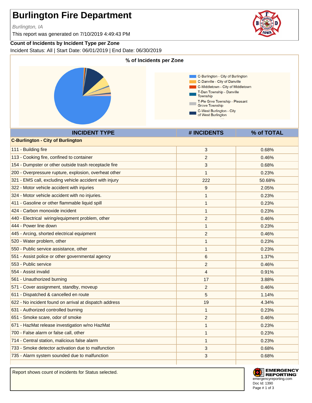Burlington, IA

This report was generated on 7/10/2019 4:49:43 PM

### **Count of Incidents by Incident Type per Zone**

Incident Status: All | Start Date: 06/01/2019 | End Date: 06/30/2019



Report shows count of incidents for Status selected.



**EMERGENCY REPORTING** emergencyreporting.com Doc Id: 1390 Page # 1 of 3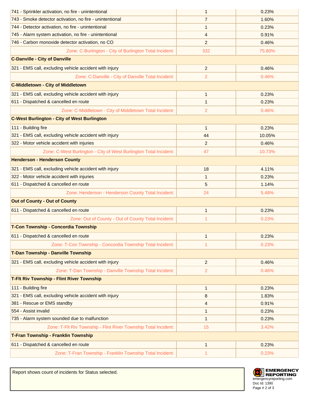| 741 - Sprinkler activation, no fire - unintentional               | 1              | 0.23%  |  |
|-------------------------------------------------------------------|----------------|--------|--|
| 743 - Smoke detector activation, no fire - unintentional          | $\overline{7}$ | 1.60%  |  |
| 744 - Detector activation, no fire - unintentional                | $\mathbf{1}$   | 0.23%  |  |
| 745 - Alarm system activation, no fire - unintentional            | 4              | 0.91%  |  |
| 746 - Carbon monoxide detector activation, no CO                  | 2              | 0.46%  |  |
| Zone: C-Burlington - City of Burlington Total Incident:           | 332            | 75.80% |  |
| <b>C-Danville - City of Danville</b>                              |                |        |  |
| 321 - EMS call, excluding vehicle accident with injury            | $\overline{2}$ | 0.46%  |  |
| Zone: C-Danville - City of Danville Total Incident:               | $\overline{c}$ | 0.46%  |  |
| <b>C-Middletown - City of Middletown</b>                          |                |        |  |
| 321 - EMS call, excluding vehicle accident with injury            | $\mathbf{1}$   | 0.23%  |  |
| 611 - Dispatched & cancelled en route                             | $\mathbf{1}$   | 0.23%  |  |
| Zone: C-Middletown - City of Middletown Total Incident:           | 2              | 0.46%  |  |
| <b>C-West Burlington - City of West Burlington</b>                |                |        |  |
| 111 - Building fire                                               | $\mathbf{1}$   | 0.23%  |  |
| 321 - EMS call, excluding vehicle accident with injury            | 44             | 10.05% |  |
| 322 - Motor vehicle accident with injuries                        | $\overline{c}$ | 0.46%  |  |
| Zone: C-West Burlington - City of West Burlington Total Incident: | 47             | 10.73% |  |
| <b>Henderson - Henderson County</b>                               |                |        |  |
| 321 - EMS call, excluding vehicle accident with injury            | 18             | 4.11%  |  |
| 322 - Motor vehicle accident with injuries                        | $\mathbf{1}$   | 0.23%  |  |
| 611 - Dispatched & cancelled en route                             | 5              | 1.14%  |  |
| Zone: Henderson - Henderson County Total Incident:                | 24             | 5.48%  |  |
| <b>Out of County - Out of County</b>                              |                |        |  |
| 611 - Dispatched & cancelled en route                             | $\mathbf{1}$   | 0.23%  |  |
| Zone: Out of County - Out of County Total Incident:               | 1              | 0.23%  |  |
| T-Con Township - Concordia Township                               |                |        |  |
| 611 - Dispatched & cancelled en route                             | 1              | 0.23%  |  |
| Zone: T-Con Township - Concordia Township Total Incident:         | 1              | 0.23%  |  |
| T-Dan Township - Danville Township                                |                |        |  |
| 321 - EMS call, excluding vehicle accident with injury            | 2              | 0.46%  |  |
| Zone: T-Dan Township - Danville Township Total Incident:          | $\overline{2}$ | 0.46%  |  |
| <b>T-Fit Riv Township - Flint River Township</b>                  |                |        |  |
| 111 - Building fire                                               | $\mathbf{1}$   | 0.23%  |  |
| 321 - EMS call, excluding vehicle accident with injury            | 8              | 1.83%  |  |
| 381 - Rescue or EMS standby                                       | 4              | 0.91%  |  |
| 554 - Assist invalid                                              | 1              | 0.23%  |  |
| 735 - Alarm system sounded due to malfunction                     | $\mathbf{1}$   | 0.23%  |  |
| Zone: T-Flt Riv Township - Flint River Township Total Incident:   | 15             | 3.42%  |  |
| <b>T-Fran Township - Franklin Township</b>                        |                |        |  |
| 611 - Dispatched & cancelled en route                             | $\mathbf{1}$   | 0.23%  |  |
| Zone: T-Fran Township - Franklin Township Total Incident:         | 1              | 0.23%  |  |

Doc Id: 1390 emergencyreporting.com Page # 2 of 3

Report shows count of incidents for Status selected.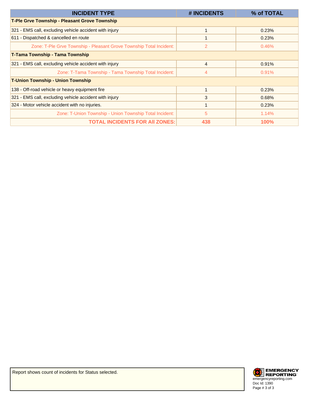| <b>INCIDENT TYPE</b>                                                | # INCIDENTS | % of TOTAL  |
|---------------------------------------------------------------------|-------------|-------------|
| <b>T-Ple Grve Township - Pleasant Grove Township</b>                |             |             |
| 321 - EMS call, excluding vehicle accident with injury              |             | 0.23%       |
| 611 - Dispatched & cancelled en route                               |             | 0.23%       |
| Zone: T-Ple Grve Township - Pleasant Grove Township Total Incident: | 2           | 0.46%       |
| <b>T-Tama Township - Tama Township</b>                              |             |             |
| 321 - EMS call, excluding vehicle accident with injury              | 4           | 0.91%       |
| Zone: T-Tama Township - Tama Township Total Incident:               | 4           | 0.91%       |
| <b>T-Union Township - Union Township</b>                            |             |             |
| 138 - Off-road vehicle or heavy equipment fire                      |             | 0.23%       |
| 321 - EMS call, excluding vehicle accident with injury              | 3           | 0.68%       |
| 324 - Motor vehicle accident with no injuries.                      |             | 0.23%       |
| Zone: T-Union Township - Union Township Total Incident:             | 5           | 1.14%       |
| <b>TOTAL INCIDENTS FOR AII ZONES:</b>                               | 438         | <b>100%</b> |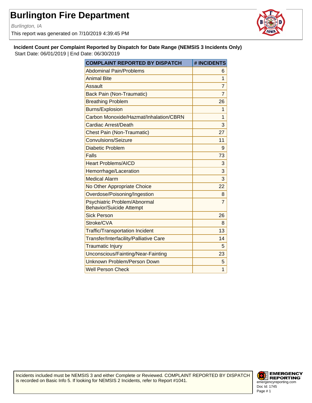Burlington, IA

This report was generated on 7/10/2019 4:39:45 PM



**Incident Count per Complaint Reported by Dispatch for Date Range (NEMSIS 3 Incidents Only)** Start Date: 06/01/2019 | End Date: 06/30/2019

| <b>COMPLAINT REPORTED BY DISPATCH</b>                           | # INCIDENTS    |
|-----------------------------------------------------------------|----------------|
| <b>Abdominal Pain/Problems</b>                                  | 6              |
| <b>Animal Bite</b>                                              | 1              |
| Assault                                                         | $\overline{7}$ |
| <b>Back Pain (Non-Traumatic)</b>                                | 7              |
| <b>Breathing Problem</b>                                        | 26             |
| <b>Burns/Explosion</b>                                          | 1              |
| Carbon Monoxide/Hazmat/Inhalation/CBRN                          | 1              |
| Cardiac Arrest/Death                                            | 3              |
| <b>Chest Pain (Non-Traumatic)</b>                               | 27             |
| Convulsions/Seizure                                             | 11             |
| Diabetic Problem                                                | 9              |
| Falls                                                           | 73             |
| <b>Heart Problems/AICD</b>                                      | 3              |
| Hemorrhage/Laceration                                           | 3              |
| <b>Medical Alarm</b>                                            | 3              |
| No Other Appropriate Choice                                     | 22             |
| Overdose/Poisoning/Ingestion                                    | 8              |
| Psychiatric Problem/Abnormal<br><b>Behavior/Suicide Attempt</b> | $\overline{7}$ |
| <b>Sick Person</b>                                              | 26             |
| Stroke/CVA                                                      | 8              |
| <b>Traffic/Transportation Incident</b>                          | 13             |
| Transfer/Interfacility/Palliative Care                          | 14             |
| <b>Traumatic Injury</b>                                         | 5              |
| Unconscious/Fainting/Near-Fainting                              | 23             |
| Unknown Problem/Person Down                                     | 5              |
| <b>Well Person Check</b>                                        | 1              |

Incidents included must be NEMSIS 3 and either Complete or Reviewed. COMPLAINT REPORTED BY DISPATCH is recorded on Basic Info 5. If looking for NEMSIS 2 Incidents, refer to Report #1041.

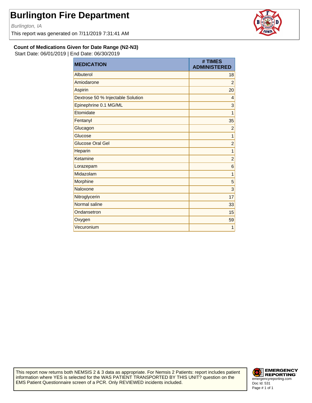Burlington, IA

This report was generated on 7/11/2019 7:31:41 AM



#### **Count of Medications Given for Date Range (N2-N3)**

Start Date: 06/01/2019 | End Date: 06/30/2019

| <b>MEDICATION</b>                 | # TIMES<br><b>ADMINISTERED</b> |
|-----------------------------------|--------------------------------|
| Albuterol                         | 18                             |
| Amiodarone                        | $\overline{c}$                 |
| Aspirin                           | 20                             |
| Dextrose 50 % Injectable Solution | $\overline{4}$                 |
| Epinephrine 0.1 MG/ML             | 3                              |
| Etomidate                         | 1                              |
| Fentanyl                          | 35                             |
| Glucagon                          | $\overline{c}$                 |
| Glucose                           | $\overline{1}$                 |
| <b>Glucose Oral Gel</b>           | $\overline{c}$                 |
| Heparin                           | $\overline{1}$                 |
| Ketamine                          | $\overline{c}$                 |
| Lorazepam                         | 6                              |
| Midazolam                         | 1                              |
| Morphine                          | 5                              |
| Naloxone                          | 3                              |
| Nitroglycerin                     | 17                             |
| Normal saline                     | 33                             |
| Ondansetron                       | 15                             |
| Oxygen                            | 59                             |
| Vecuronium                        | 1                              |

This report now returns both NEMSIS 2 & 3 data as appropriate. For Nemsis 2 Patients: report includes patient information where YES is selected for the WAS PATIENT TRANSPORTED BY THIS UNIT? question on the EMS Patient Questionnaire screen of a PCR. Only REVIEWED incidents included.